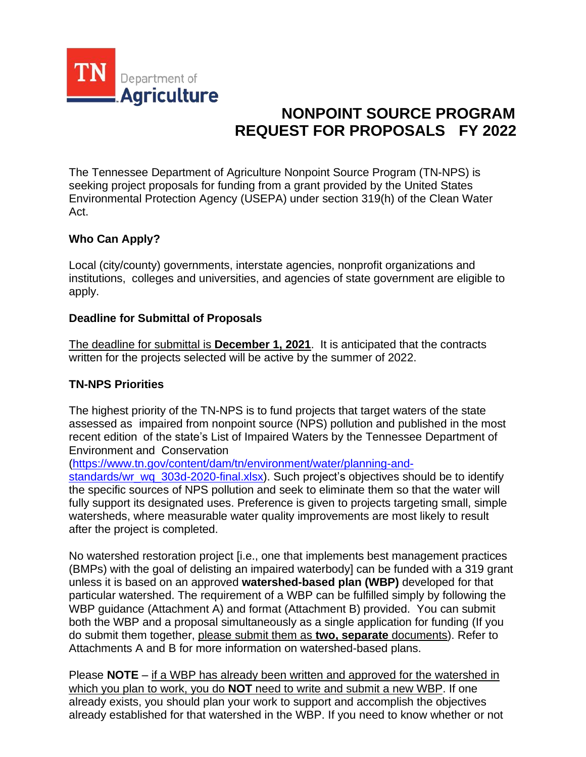

## **NONPOINT SOURCE PROGRAM REQUEST FOR PROPOSALS FY 2022**

The Tennessee Department of Agriculture Nonpoint Source Program (TN-NPS) is seeking project proposals for funding from a grant provided by the United States Environmental Protection Agency (USEPA) under section 319(h) of the Clean Water Act.

#### **Who Can Apply?**

Local (city/county) governments, interstate agencies, nonprofit organizations and institutions, colleges and universities, and agencies of state government are eligible to apply.

#### **Deadline for Submittal of Proposals**

The deadline for submittal is **December 1, 2021**. It is anticipated that the contracts written for the projects selected will be active by the summer of 2022.

#### **TN-NPS Priorities**

The highest priority of the TN-NPS is to fund projects that target waters of the state assessed as impaired from nonpoint source (NPS) pollution and published in the most recent edition of the state's List of Impaired Waters by the Tennessee Department of Environment and Conservation

[\(https://www.tn.gov/content/dam/tn/environment/water/planning-and-](https://www.tn.gov/content/dam/tn/environment/water/planning-and-standards/wr_wq_303d-2020-final.xlsx)

[standards/wr\\_wq\\_303d-2020-final.xlsx\)](https://www.tn.gov/content/dam/tn/environment/water/planning-and-standards/wr_wq_303d-2020-final.xlsx). Such project's objectives should be to identify the specific sources of NPS pollution and seek to eliminate them so that the water will fully support its designated uses. Preference is given to projects targeting small, simple watersheds, where measurable water quality improvements are most likely to result after the project is completed.

No watershed restoration project [i.e., one that implements best management practices (BMPs) with the goal of delisting an impaired waterbody] can be funded with a 319 grant unless it is based on an approved **watershed-based plan (WBP)** developed for that particular watershed. The requirement of a WBP can be fulfilled simply by following the WBP guidance (Attachment A) and format (Attachment B) provided. You can submit both the WBP and a proposal simultaneously as a single application for funding (If you do submit them together, please submit them as **two, separate** documents). Refer to Attachments A and B for more information on watershed-based plans.

Please **NOTE** – if a WBP has already been written and approved for the watershed in which you plan to work, you do **NOT** need to write and submit a new WBP. If one already exists, you should plan your work to support and accomplish the objectives already established for that watershed in the WBP. If you need to know whether or not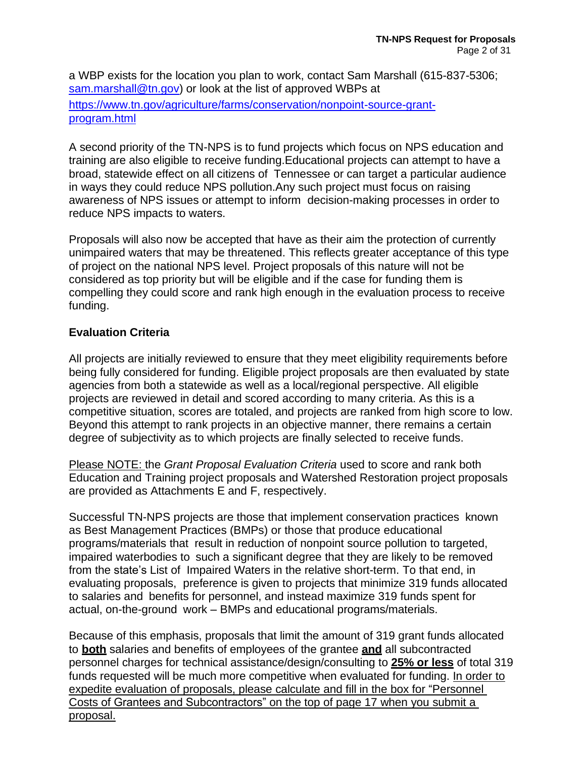a WBP exists for the location you plan to work, contact Sam Marshall (615-837-5306; [sam.marshall@tn.gov\)](mailto:sam.marshall@tn.gov) or look at the list of approved WBPs at [https://www.tn.gov/agriculture/farms/conservation/nonpoint-source-grant](https://www.tn.gov/agriculture/farms/conservation/nonpoint-source-grant-program.html)[program.html](https://www.tn.gov/agriculture/farms/conservation/nonpoint-source-grant-program.html)

A second priority of the TN-NPS is to fund projects which focus on NPS education and training are also eligible to receive funding.Educational projects can attempt to have a broad, statewide effect on all citizens of Tennessee or can target a particular audience in ways they could reduce NPS pollution.Any such project must focus on raising awareness of NPS issues or attempt to inform decision-making processes in order to reduce NPS impacts to waters.

Proposals will also now be accepted that have as their aim the protection of currently unimpaired waters that may be threatened. This reflects greater acceptance of this type of project on the national NPS level. Project proposals of this nature will not be considered as top priority but will be eligible and if the case for funding them is compelling they could score and rank high enough in the evaluation process to receive funding.

#### **Evaluation Criteria**

All projects are initially reviewed to ensure that they meet eligibility requirements before being fully considered for funding. Eligible project proposals are then evaluated by state agencies from both a statewide as well as a local/regional perspective. All eligible projects are reviewed in detail and scored according to many criteria. As this is a competitive situation, scores are totaled, and projects are ranked from high score to low. Beyond this attempt to rank projects in an objective manner, there remains a certain degree of subjectivity as to which projects are finally selected to receive funds.

Please NOTE: the *Grant Proposal Evaluation Criteria* used to score and rank both Education and Training project proposals and Watershed Restoration project proposals are provided as Attachments E and F, respectively.

Successful TN-NPS projects are those that implement conservation practices known as Best Management Practices (BMPs) or those that produce educational programs/materials that result in reduction of nonpoint source pollution to targeted, impaired waterbodies to such a significant degree that they are likely to be removed from the state's List of Impaired Waters in the relative short-term. To that end, in evaluating proposals, preference is given to projects that minimize 319 funds allocated to salaries and benefits for personnel, and instead maximize 319 funds spent for actual, on-the-ground work – BMPs and educational programs/materials.

Because of this emphasis, proposals that limit the amount of 319 grant funds allocated to **both** salaries and benefits of employees of the grantee **and** all subcontracted personnel charges for technical assistance/design/consulting to **25% or less** of total 319 funds requested will be much more competitive when evaluated for funding. In order to expedite evaluation of proposals, please calculate and fill in the box for "Personnel Costs of Grantees and Subcontractors" on the top of page 17 when you submit a proposal.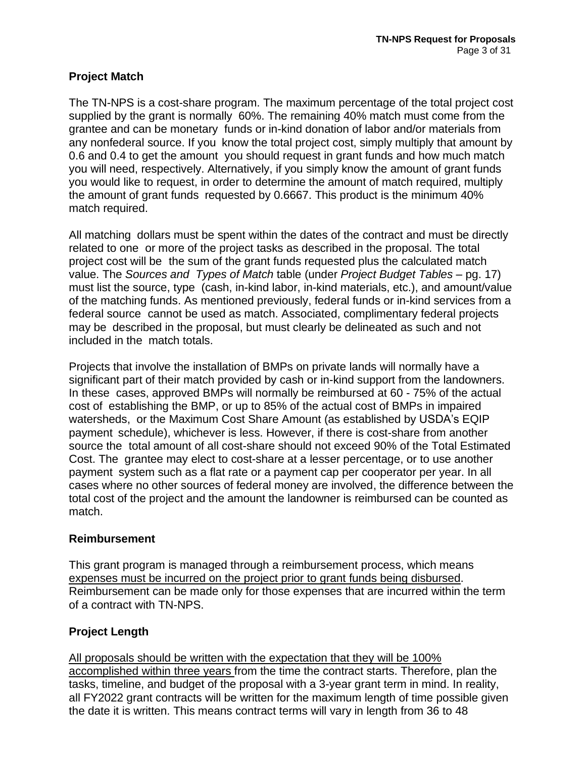#### **Project Match**

The TN-NPS is a cost-share program. The maximum percentage of the total project cost supplied by the grant is normally 60%. The remaining 40% match must come from the grantee and can be monetary funds or in-kind donation of labor and/or materials from any nonfederal source. If you know the total project cost, simply multiply that amount by 0.6 and 0.4 to get the amount you should request in grant funds and how much match you will need, respectively. Alternatively, if you simply know the amount of grant funds you would like to request, in order to determine the amount of match required, multiply the amount of grant funds requested by 0.6667. This product is the minimum 40% match required.

All matching dollars must be spent within the dates of the contract and must be directly related to one or more of the project tasks as described in the proposal. The total project cost will be the sum of the grant funds requested plus the calculated match value. The *Sources and Types of Match* table (under *Project Budget Tables* – pg. 17) must list the source, type (cash, in-kind labor, in-kind materials, etc.), and amount/value of the matching funds. As mentioned previously, federal funds or in-kind services from a federal source cannot be used as match. Associated, complimentary federal projects may be described in the proposal, but must clearly be delineated as such and not included in the match totals.

Projects that involve the installation of BMPs on private lands will normally have a significant part of their match provided by cash or in-kind support from the landowners. In these cases, approved BMPs will normally be reimbursed at 60 - 75% of the actual cost of establishing the BMP, or up to 85% of the actual cost of BMPs in impaired watersheds, or the Maximum Cost Share Amount (as established by USDA's EQIP payment schedule), whichever is less. However, if there is cost-share from another source the total amount of all cost-share should not exceed 90% of the Total Estimated Cost. The grantee may elect to cost-share at a lesser percentage, or to use another payment system such as a flat rate or a payment cap per cooperator per year. In all cases where no other sources of federal money are involved, the difference between the total cost of the project and the amount the landowner is reimbursed can be counted as match.

#### **Reimbursement**

This grant program is managed through a reimbursement process, which means expenses must be incurred on the project prior to grant funds being disbursed. Reimbursement can be made only for those expenses that are incurred within the term of a contract with TN-NPS.

#### **Project Length**

All proposals should be written with the expectation that they will be 100% accomplished within three years from the time the contract starts. Therefore, plan the tasks, timeline, and budget of the proposal with a 3-year grant term in mind. In reality, all FY2022 grant contracts will be written for the maximum length of time possible given the date it is written. This means contract terms will vary in length from 36 to 48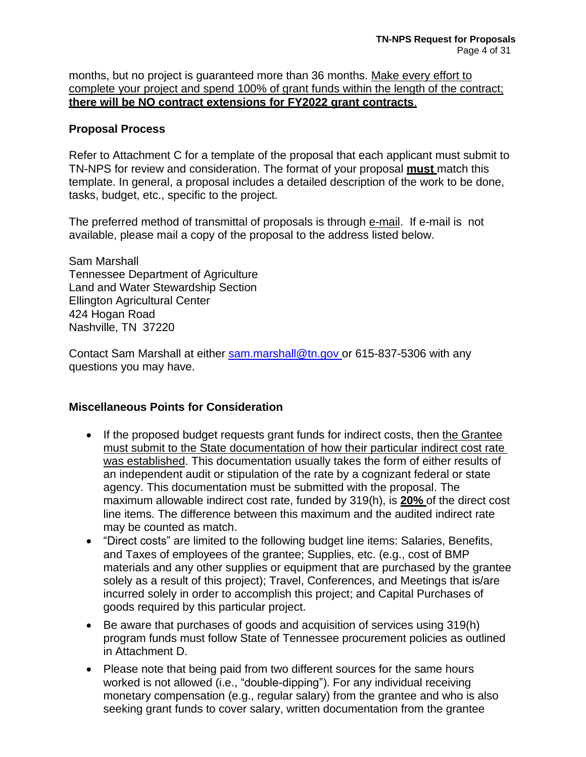months, but no project is guaranteed more than 36 months. Make every effort to complete your project and spend 100% of grant funds within the length of the contract; **there will be NO contract extensions for FY2022 grant contracts**.

#### **Proposal Process**

Refer to Attachment C for a template of the proposal that each applicant must submit to TN-NPS for review and consideration. The format of your proposal **must** match this template. In general, a proposal includes a detailed description of the work to be done, tasks, budget, etc., specific to the project.

The preferred method of transmittal of proposals is through e-mail. If e-mail is not available, please mail a copy of the proposal to the address listed below.

Sam Marshall Tennessee Department of Agriculture Land and Water Stewardship Section Ellington Agricultural Center 424 Hogan Road Nashville, TN 37220

Contact Sam Marshall at either [sam.marshall@tn.gov](mailto:sam.marshall@tn.gov) or 615-837-5306 with any questions you may have.

#### **Miscellaneous Points for Consideration**

- If the proposed budget requests grant funds for indirect costs, then the Grantee must submit to the State documentation of how their particular indirect cost rate was established. This documentation usually takes the form of either results of an independent audit or stipulation of the rate by a cognizant federal or state agency. This documentation must be submitted with the proposal. The maximum allowable indirect cost rate, funded by 319(h), is **20%** of the direct cost line items. The difference between this maximum and the audited indirect rate may be counted as match.
- "Direct costs" are limited to the following budget line items: Salaries, Benefits, and Taxes of employees of the grantee; Supplies, etc. (e.g., cost of BMP materials and any other supplies or equipment that are purchased by the grantee solely as a result of this project); Travel, Conferences, and Meetings that is/are incurred solely in order to accomplish this project; and Capital Purchases of goods required by this particular project.
- Be aware that purchases of goods and acquisition of services using 319(h) program funds must follow State of Tennessee procurement policies as outlined in Attachment D.
- Please note that being paid from two different sources for the same hours worked is not allowed (i.e., "double-dipping"). For any individual receiving monetary compensation (e.g., regular salary) from the grantee and who is also seeking grant funds to cover salary, written documentation from the grantee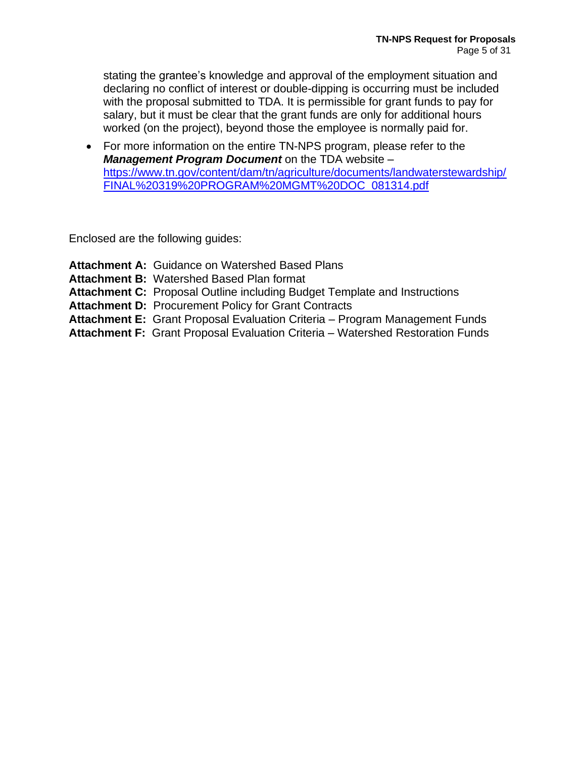stating the grantee's knowledge and approval of the employment situation and declaring no conflict of interest or double-dipping is occurring must be included with the proposal submitted to TDA. It is permissible for grant funds to pay for salary, but it must be clear that the grant funds are only for additional hours worked (on the project), beyond those the employee is normally paid for.

• For more information on the entire TN-NPS program, please refer to the *Management Program Document* on the TDA website – [https://www.tn.gov/content/dam/tn/agriculture/documents/landwaterstewardship/](https://www.tn.gov/content/dam/tn/agriculture/documents/landwaterstewardship/FINAL%20319%20PROGRAM%20MGMT%20DOC_081314.pdf) [FINAL%20319%20PROGRAM%20MGMT%20DOC\\_081314.pdf](https://www.tn.gov/content/dam/tn/agriculture/documents/landwaterstewardship/FINAL%20319%20PROGRAM%20MGMT%20DOC_081314.pdf)

Enclosed are the following guides:

**Attachment A:** Guidance on Watershed Based Plans

**Attachment B:** Watershed Based Plan format

**Attachment C:** Proposal Outline including Budget Template and Instructions

**Attachment D:** Procurement Policy for Grant Contracts

**Attachment E:** Grant Proposal Evaluation Criteria – Program Management Funds

**Attachment F:** Grant Proposal Evaluation Criteria – Watershed Restoration Funds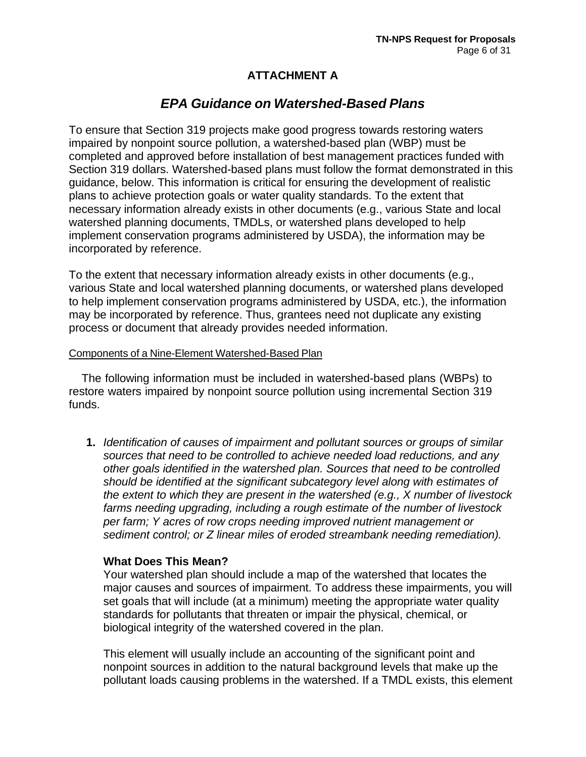#### **ATTACHMENT A**

### *EPA Guidance on Watershed-Based Plans*

To ensure that Section 319 projects make good progress towards restoring waters impaired by nonpoint source pollution, a watershed-based plan (WBP) must be completed and approved before installation of best management practices funded with Section 319 dollars. Watershed-based plans must follow the format demonstrated in this guidance, below. This information is critical for ensuring the development of realistic plans to achieve protection goals or water quality standards. To the extent that necessary information already exists in other documents (e.g., various State and local watershed planning documents, TMDLs, or watershed plans developed to help implement conservation programs administered by USDA), the information may be incorporated by reference.

To the extent that necessary information already exists in other documents (e.g., various State and local watershed planning documents, or watershed plans developed to help implement conservation programs administered by USDA, etc.), the information may be incorporated by reference. Thus, grantees need not duplicate any existing process or document that already provides needed information.

#### Components of a Nine-Element Watershed-Based Plan

The following information must be included in watershed-based plans (WBPs) to restore waters impaired by nonpoint source pollution using incremental Section 319 funds.

**1.** *Identification of causes of impairment and pollutant sources or groups of similar sources that need to be controlled to achieve needed load reductions, and any other goals identified in the watershed plan. Sources that need to be controlled should be identified at the significant subcategory level along with estimates of the extent to which they are present in the watershed (e.g., X number of livestock farms needing upgrading, including a rough estimate of the number of livestock per farm; Y acres of row crops needing improved nutrient management or sediment control; or Z linear miles of eroded streambank needing remediation).*

#### **What Does This Mean?**

Your watershed plan should include a map of the watershed that locates the major causes and sources of impairment. To address these impairments, you will set goals that will include (at a minimum) meeting the appropriate water quality standards for pollutants that threaten or impair the physical, chemical, or biological integrity of the watershed covered in the plan.

This element will usually include an accounting of the significant point and nonpoint sources in addition to the natural background levels that make up the pollutant loads causing problems in the watershed. If a TMDL exists, this element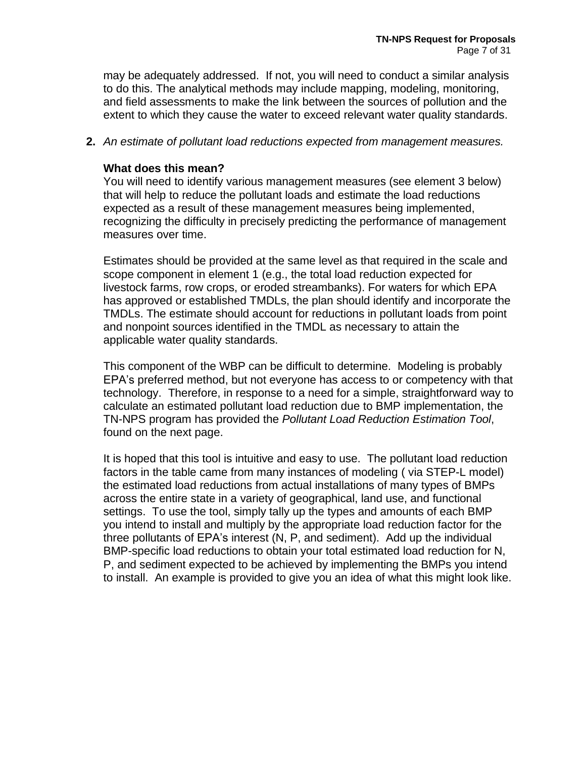may be adequately addressed. If not, you will need to conduct a similar analysis to do this. The analytical methods may include mapping, modeling, monitoring, and field assessments to make the link between the sources of pollution and the extent to which they cause the water to exceed relevant water quality standards.

**2.** *An estimate of pollutant load reductions expected from management measures.*

#### **What does this mean?**

You will need to identify various management measures (see element 3 below) that will help to reduce the pollutant loads and estimate the load reductions expected as a result of these management measures being implemented, recognizing the difficulty in precisely predicting the performance of management measures over time.

Estimates should be provided at the same level as that required in the scale and scope component in element 1 (e.g., the total load reduction expected for livestock farms, row crops, or eroded streambanks). For waters for which EPA has approved or established TMDLs, the plan should identify and incorporate the TMDLs. The estimate should account for reductions in pollutant loads from point and nonpoint sources identified in the TMDL as necessary to attain the applicable water quality standards.

This component of the WBP can be difficult to determine. Modeling is probably EPA's preferred method, but not everyone has access to or competency with that technology. Therefore, in response to a need for a simple, straightforward way to calculate an estimated pollutant load reduction due to BMP implementation, the TN-NPS program has provided the *Pollutant Load Reduction Estimation Tool*, found on the next page.

It is hoped that this tool is intuitive and easy to use. The pollutant load reduction factors in the table came from many instances of modeling ( via STEP-L model) the estimated load reductions from actual installations of many types of BMPs across the entire state in a variety of geographical, land use, and functional settings. To use the tool, simply tally up the types and amounts of each BMP you intend to install and multiply by the appropriate load reduction factor for the three pollutants of EPA's interest (N, P, and sediment). Add up the individual BMP-specific load reductions to obtain your total estimated load reduction for N, P, and sediment expected to be achieved by implementing the BMPs you intend to install. An example is provided to give you an idea of what this might look like.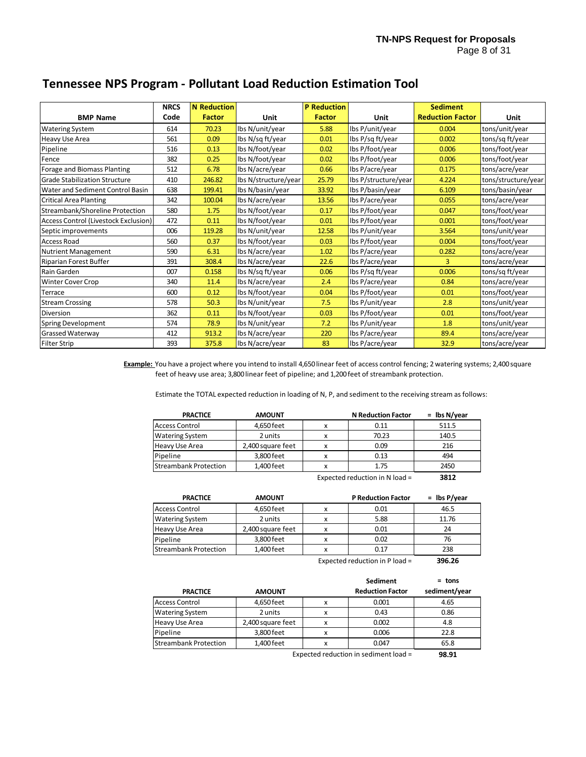|                                             | <b>NRCS</b> | <b>N</b> Reduction |                      | <b>P</b> Reduction |                      | <b>Sediment</b>         |                     |
|---------------------------------------------|-------------|--------------------|----------------------|--------------------|----------------------|-------------------------|---------------------|
| <b>BMP Name</b>                             | Code        | <b>Factor</b>      | Unit                 | <b>Factor</b>      | <b>Unit</b>          | <b>Reduction Factor</b> | <b>Unit</b>         |
| <b>Watering System</b>                      | 614         | 70.23              | Ibs N/unit/year      | 5.88               | Ibs P/unit/year      | 0.004                   | tons/unit/year      |
| <b>Heavy Use Area</b>                       | 561         | 0.09               | Ibs N/sq ft/year     | 0.01               | Ibs P/sq ft/year     | 0.002                   | tons/sq ft/year     |
| Pipeline                                    | 516         | 0.13               | lbs N/foot/year      | 0.02               | Ibs P/foot/year      | 0.006                   | tons/foot/year      |
| Fence                                       | 382         | 0.25               | Ibs N/foot/year      | 0.02               | Ibs P/foot/year      | 0.006                   | tons/foot/year      |
| Forage and Biomass Planting                 | 512         | 6.78               | Ibs N/acre/year      | 0.66               | Ibs P/acre/year      | 0.175                   | tons/acre/year      |
| <b>Grade Stabilization Structure</b>        | 410         | 246.82             | Ibs N/structure/year | 25.79              | Ibs P/structure/year | 4.224                   | tons/structure/year |
| Water and Sediment Control Basin            | 638         | 199.41             | Ibs N/basin/year     | 33.92              | Ibs P/basin/year     | 6.109                   | tons/basin/year     |
| <b>Critical Area Planting</b>               | 342         | 100.04             | Ibs N/acre/year      | 13.56              | Ibs P/acre/year      | 0.055                   | tons/acre/year      |
| Streambank/Shoreline Protection             | 580         | 1.75               | Ibs N/foot/year      | 0.17               | Ibs P/foot/year      | 0.047                   | tons/foot/year      |
| <b>Access Control (Livestock Exclusion)</b> | 472         | 0.11               | Ibs N/foot/year      | 0.01               | Ibs P/foot/year      | 0.001                   | tons/foot/year      |
| Septic improvements                         | 006         | 119.28             | Ibs N/unit/year      | 12.58              | lbs P/unit/year      | 3.564                   | tons/unit/year      |
| <b>Access Road</b>                          | 560         | 0.37               | Ibs N/foot/year      | 0.03               | lbs P/foot/year      | 0.004                   | tons/foot/year      |
| Nutrient Management                         | 590         | 6.31               | Ibs N/acre/year      | 1.02               | Ibs P/acre/year      | 0.282                   | tons/acre/year      |
| <b>Riparian Forest Buffer</b>               | 391         | 308.4              | lbs N/acre/year      | 22.6               | Ibs P/acre/year      | 3                       | tons/acre/year      |
| Rain Garden                                 | 007         | 0.158              | Ibs N/sq ft/year     | 0.06               | lbs P/sq ft/year     | 0.006                   | tons/sq ft/year     |
| <b>Winter Cover Crop</b>                    | 340         | 11.4               | lbs N/acre/year      | 2.4                | lbs P/acre/year      | 0.84                    | tons/acre/year      |
| Terrace                                     | 600         | 0.12               | Ibs N/foot/year      | 0.04               | lbs P/foot/year      | 0.01                    | tons/foot/year      |
| <b>Stream Crossing</b>                      | 578         | 50.3               | Ibs N/unit/year      | 7.5                | Ibs P/unit/year      | 2.8                     | tons/unit/year      |
| Diversion                                   | 362         | 0.11               | lbs N/foot/year      | 0.03               | lbs P/foot/year      | 0.01                    | tons/foot/year      |
| <b>Spring Development</b>                   | 574         | 78.9               | Ibs N/unit/year      | 7.2                | Ibs P/unit/year      | 1.8                     | tons/unit/year      |
| <b>Grassed Waterway</b>                     | 412         | 913.2              | Ibs N/acre/year      | 220                | Ibs P/acre/year      | 89.4                    | tons/acre/year      |
| <b>Filter Strip</b>                         | 393         | 375.8              | lbs N/acre/year      | 83                 | Ibs P/acre/year      | 32.9                    | tons/acre/year      |

#### **Tennessee NPS Program - Pollutant Load Reduction Estimation Tool**

Example: You have a project where you intend to install 4,650 linear feet of access control fencing; 2 watering systems; 2,400 square feet of heavy use area; 3,800linear feet of pipeline; and 1,200feet of streambank protection.

Estimate the TOTAL expected reduction in loading of N, P, and sediment to the receiving stream as follows:

| <b>PRACTICE</b>        | <b>AMOUNT</b>     |   | <b>N</b> Reduction Factor | $=$ lbs N/year |  |
|------------------------|-------------------|---|---------------------------|----------------|--|
| Access Control         | 4,650 feet        |   | 0.11                      | 511.5          |  |
| <b>Watering System</b> | 2 units           |   | 70.23                     | 140.5          |  |
| Heavy Use Area         | 2,400 square feet | ^ | 0.09                      | 216            |  |
| Pipeline               | 3.800 feet        |   | 0.13                      | 494            |  |
| Streambank Protection  | 1,400 feet        |   | 1.75                      | 2450           |  |
|                        |                   |   |                           |                |  |

Expected reduction in N load = **3812**

| <b>AMOUNT</b>     | <b>P Reduction Factor</b> | $=$ lbs P/year |
|-------------------|---------------------------|----------------|
| 4,650 feet        | 0.01                      | 46.5           |
| 2 units           | 5.88                      | 11.76          |
| 2,400 square feet | 0.01                      | 24             |
| 3,800 feet        | 0.02                      | 76             |
| 1.400 feet        | 0.17                      | 238            |
|                   |                           |                |

Expected reduction in P load = **396.26**

|                              |                   |   | Sediment                | $=$ tons      |
|------------------------------|-------------------|---|-------------------------|---------------|
| <b>PRACTICE</b>              | <b>AMOUNT</b>     |   | <b>Reduction Factor</b> | sediment/year |
| <b>Access Control</b>        | 4,650 feet        | x | 0.001                   | 4.65          |
| <b>Watering System</b>       | 2 units           | x | 0.43                    | 0.86          |
| <b>Heavy Use Area</b>        | 2,400 square feet |   | 0.002                   | 4.8           |
| Pipeline                     | 3,800 feet        | x | 0.006                   | 22.8          |
| <b>Streambank Protection</b> | 1,400 feet        | x | 0.047                   | 65.8          |

Expected reduction in sediment load = **98.91**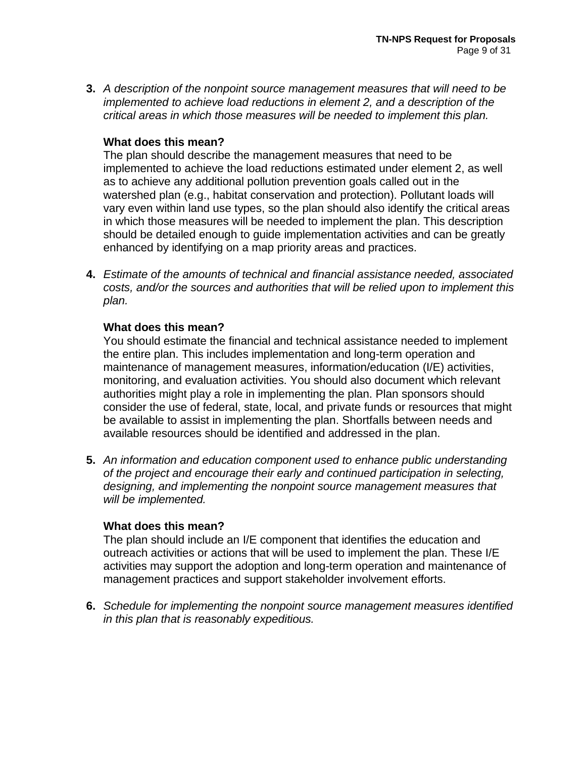**3.** *A description of the nonpoint source management measures that will need to be implemented to achieve load reductions in element 2, and a description of the critical areas in which those measures will be needed to implement this plan.*

#### **What does this mean?**

The plan should describe the management measures that need to be implemented to achieve the load reductions estimated under element 2, as well as to achieve any additional pollution prevention goals called out in the watershed plan (e.g., habitat conservation and protection). Pollutant loads will vary even within land use types, so the plan should also identify the critical areas in which those measures will be needed to implement the plan. This description should be detailed enough to guide implementation activities and can be greatly enhanced by identifying on a map priority areas and practices.

**4.** *Estimate of the amounts of technical and financial assistance needed, associated costs, and/or the sources and authorities that will be relied upon to implement this plan.*

#### **What does this mean?**

You should estimate the financial and technical assistance needed to implement the entire plan. This includes implementation and long-term operation and maintenance of management measures, information/education (I/E) activities, monitoring, and evaluation activities. You should also document which relevant authorities might play a role in implementing the plan. Plan sponsors should consider the use of federal, state, local, and private funds or resources that might be available to assist in implementing the plan. Shortfalls between needs and available resources should be identified and addressed in the plan.

**5.** *An information and education component used to enhance public understanding of the project and encourage their early and continued participation in selecting, designing, and implementing the nonpoint source management measures that will be implemented.*

#### **What does this mean?**

The plan should include an I/E component that identifies the education and outreach activities or actions that will be used to implement the plan. These I/E activities may support the adoption and long-term operation and maintenance of management practices and support stakeholder involvement efforts.

**6.** *Schedule for implementing the nonpoint source management measures identified in this plan that is reasonably expeditious.*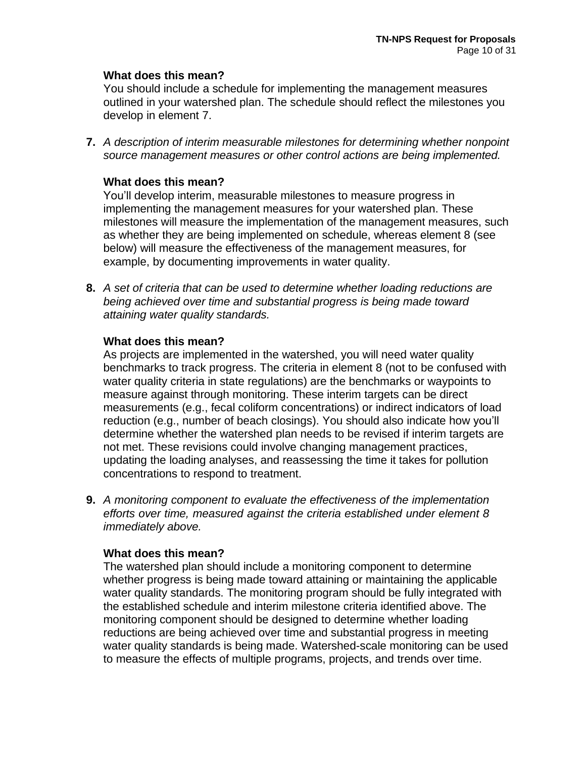#### **What does this mean?**

You should include a schedule for implementing the management measures outlined in your watershed plan. The schedule should reflect the milestones you develop in element 7.

**7.** *A description of interim measurable milestones for determining whether nonpoint source management measures or other control actions are being implemented.*

#### **What does this mean?**

You'll develop interim, measurable milestones to measure progress in implementing the management measures for your watershed plan. These milestones will measure the implementation of the management measures, such as whether they are being implemented on schedule, whereas element 8 (see below) will measure the effectiveness of the management measures, for example, by documenting improvements in water quality.

**8.** *A set of criteria that can be used to determine whether loading reductions are being achieved over time and substantial progress is being made toward attaining water quality standards.*

#### **What does this mean?**

As projects are implemented in the watershed, you will need water quality benchmarks to track progress. The criteria in element 8 (not to be confused with water quality criteria in state regulations) are the benchmarks or waypoints to measure against through monitoring. These interim targets can be direct measurements (e.g., fecal coliform concentrations) or indirect indicators of load reduction (e.g., number of beach closings). You should also indicate how you'll determine whether the watershed plan needs to be revised if interim targets are not met. These revisions could involve changing management practices, updating the loading analyses, and reassessing the time it takes for pollution concentrations to respond to treatment.

**9.** *A monitoring component to evaluate the effectiveness of the implementation efforts over time, measured against the criteria established under element 8 immediately above.*

#### **What does this mean?**

The watershed plan should include a monitoring component to determine whether progress is being made toward attaining or maintaining the applicable water quality standards. The monitoring program should be fully integrated with the established schedule and interim milestone criteria identified above. The monitoring component should be designed to determine whether loading reductions are being achieved over time and substantial progress in meeting water quality standards is being made. Watershed-scale monitoring can be used to measure the effects of multiple programs, projects, and trends over time.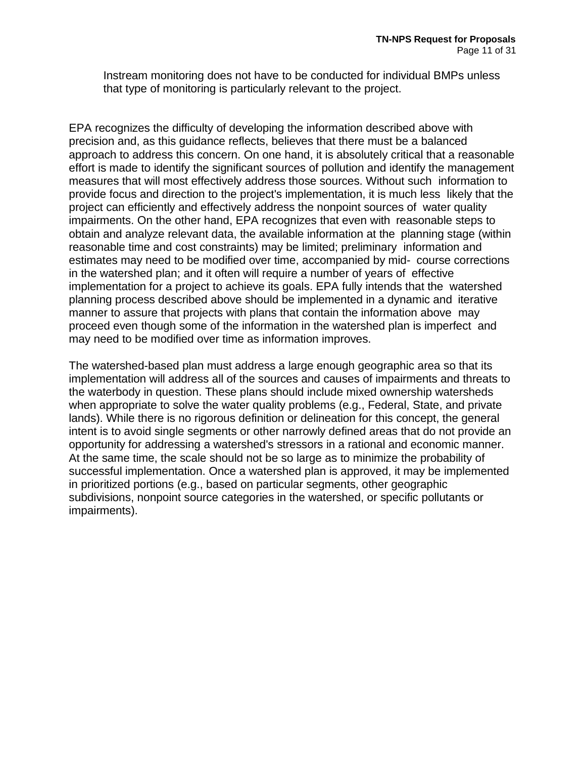Instream monitoring does not have to be conducted for individual BMPs unless that type of monitoring is particularly relevant to the project.

EPA recognizes the difficulty of developing the information described above with precision and, as this guidance reflects, believes that there must be a balanced approach to address this concern. On one hand, it is absolutely critical that a reasonable effort is made to identify the significant sources of pollution and identify the management measures that will most effectively address those sources. Without such information to provide focus and direction to the project's implementation, it is much less likely that the project can efficiently and effectively address the nonpoint sources of water quality impairments. On the other hand, EPA recognizes that even with reasonable steps to obtain and analyze relevant data, the available information at the planning stage (within reasonable time and cost constraints) may be limited; preliminary information and estimates may need to be modified over time, accompanied by mid- course corrections in the watershed plan; and it often will require a number of years of effective implementation for a project to achieve its goals. EPA fully intends that the watershed planning process described above should be implemented in a dynamic and iterative manner to assure that projects with plans that contain the information above may proceed even though some of the information in the watershed plan is imperfect and may need to be modified over time as information improves.

The watershed-based plan must address a large enough geographic area so that its implementation will address all of the sources and causes of impairments and threats to the waterbody in question. These plans should include mixed ownership watersheds when appropriate to solve the water quality problems (e.g., Federal, State, and private lands). While there is no rigorous definition or delineation for this concept, the general intent is to avoid single segments or other narrowly defined areas that do not provide an opportunity for addressing a watershed's stressors in a rational and economic manner. At the same time, the scale should not be so large as to minimize the probability of successful implementation. Once a watershed plan is approved, it may be implemented in prioritized portions (e.g., based on particular segments, other geographic subdivisions, nonpoint source categories in the watershed, or specific pollutants or impairments).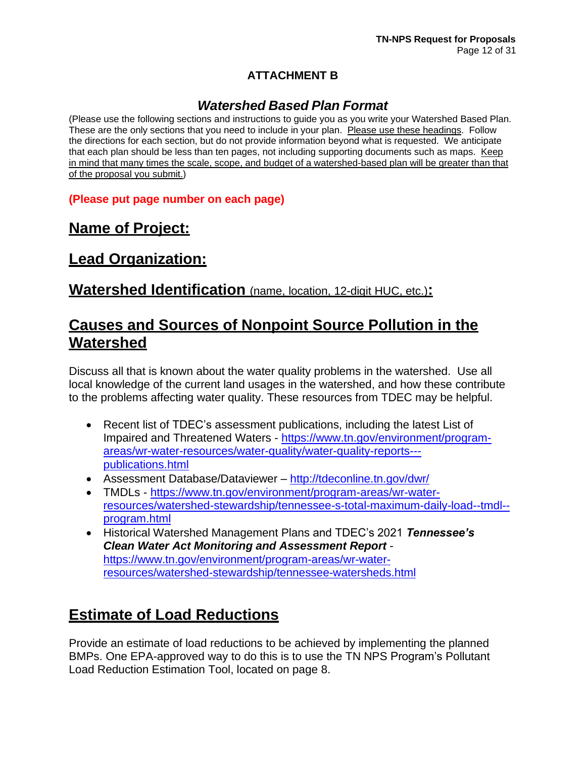#### **ATTACHMENT B**

## *Watershed Based Plan Format*

(Please use the following sections and instructions to guide you as you write your Watershed Based Plan. These are the only sections that you need to include in your plan. Please use these headings. Follow the directions for each section, but do not provide information beyond what is requested. We anticipate that each plan should be less than ten pages, not including supporting documents such as maps. Keep in mind that many times the scale, scope, and budget of a watershed-based plan will be greater than that of the proposal you submit.)

**(Please put page number on each page)**

**Name of Project:**

**Lead Organization:**

**Watershed Identification** (name, location, 12-digit HUC, etc.)**:**

## **Causes and Sources of Nonpoint Source Pollution in the Watershed**

Discuss all that is known about the water quality problems in the watershed. Use all local knowledge of the current land usages in the watershed, and how these contribute to the problems affecting water quality. These resources from TDEC may be helpful.

- Recent list of TDEC's assessment publications, including the latest List of Impaired and Threatened Waters - [https://www.tn.gov/environment/program](https://www.tn.gov/environment/program-areas/wr-water-resources/water-quality/water-quality-reports---publications.html)[areas/wr-water-resources/water-quality/water-quality-reports--](https://www.tn.gov/environment/program-areas/wr-water-resources/water-quality/water-quality-reports---publications.html) [publications.html](https://www.tn.gov/environment/program-areas/wr-water-resources/water-quality/water-quality-reports---publications.html)
- Assessment Database/Dataviewer <http://tdeconline.tn.gov/dwr/>
- TMDLs [https://www.tn.gov/environment/program-areas/wr-water](https://www.tn.gov/environment/program-areas/wr-water-resources/watershed-stewardship/tennessee-s-total-maximum-daily-load--tmdl--program.html)[resources/watershed-stewardship/tennessee-s-total-maximum-daily-load--tmdl-](https://www.tn.gov/environment/program-areas/wr-water-resources/watershed-stewardship/tennessee-s-total-maximum-daily-load--tmdl--program.html) [program.html](https://www.tn.gov/environment/program-areas/wr-water-resources/watershed-stewardship/tennessee-s-total-maximum-daily-load--tmdl--program.html)
- Historical Watershed Management Plans and TDEC's 2021 *Tennessee's Clean Water Act Monitoring and Assessment Report* [https://www.tn.gov/environment/program-areas/wr-water](https://www.tn.gov/environment/program-areas/wr-water-resources/watershed-stewardship/tennessee-watersheds.html)[resources/watershed-stewardship/tennessee-watersheds.html](https://www.tn.gov/environment/program-areas/wr-water-resources/watershed-stewardship/tennessee-watersheds.html)

## **Estimate of Load Reductions**

Provide an estimate of load reductions to be achieved by implementing the planned BMPs. One EPA-approved way to do this is to use the TN NPS Program's Pollutant Load Reduction Estimation Tool, located on page 8.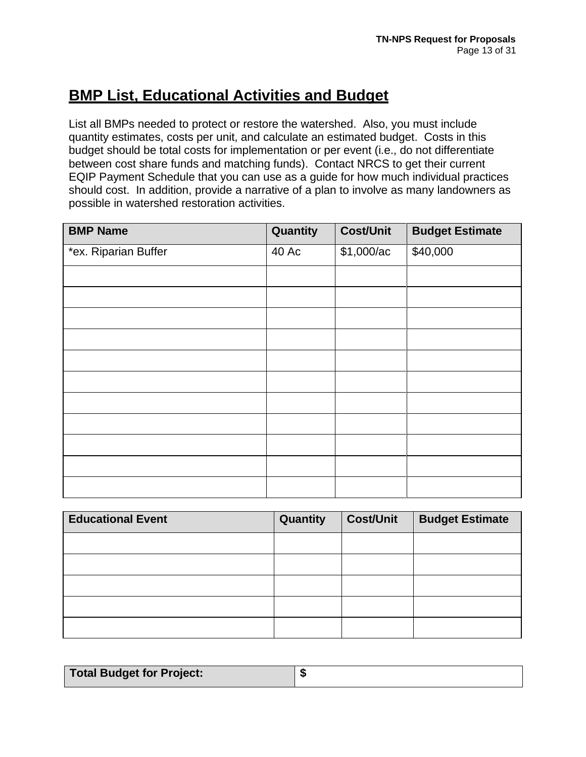## **BMP List, Educational Activities and Budget**

List all BMPs needed to protect or restore the watershed. Also, you must include quantity estimates, costs per unit, and calculate an estimated budget. Costs in this budget should be total costs for implementation or per event (i.e., do not differentiate between cost share funds and matching funds). Contact NRCS to get their current EQIP Payment Schedule that you can use as a guide for how much individual practices should cost. In addition, provide a narrative of a plan to involve as many landowners as possible in watershed restoration activities.

| <b>BMP Name</b>      | Quantity | <b>Cost/Unit</b> | <b>Budget Estimate</b> |
|----------------------|----------|------------------|------------------------|
| *ex. Riparian Buffer | 40 Ac    | \$1,000/ac       | \$40,000               |
|                      |          |                  |                        |
|                      |          |                  |                        |
|                      |          |                  |                        |
|                      |          |                  |                        |
|                      |          |                  |                        |
|                      |          |                  |                        |
|                      |          |                  |                        |
|                      |          |                  |                        |
|                      |          |                  |                        |
|                      |          |                  |                        |
|                      |          |                  |                        |

| <b>Educational Event</b> | Quantity | <b>Cost/Unit</b> | <b>Budget Estimate</b> |
|--------------------------|----------|------------------|------------------------|
|                          |          |                  |                        |
|                          |          |                  |                        |
|                          |          |                  |                        |
|                          |          |                  |                        |
|                          |          |                  |                        |

| Total Budget for Project: |  |
|---------------------------|--|
|---------------------------|--|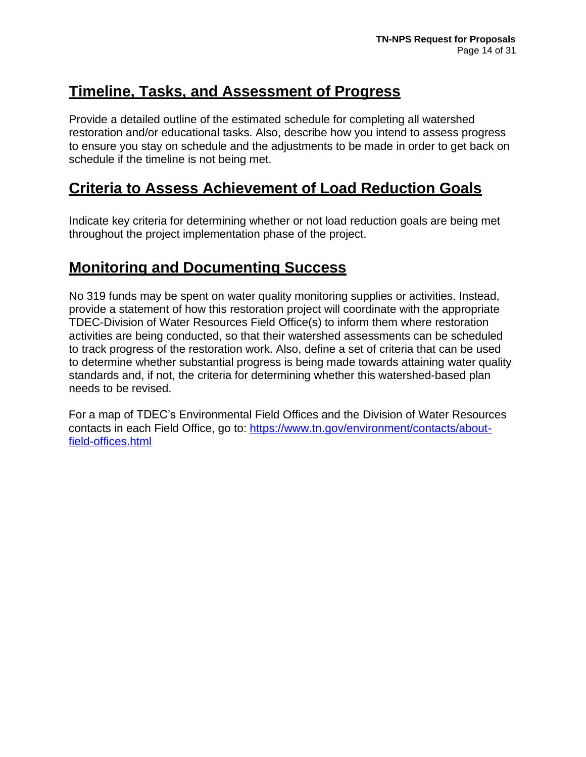## **Timeline, Tasks, and Assessment of Progress**

Provide a detailed outline of the estimated schedule for completing all watershed restoration and/or educational tasks. Also, describe how you intend to assess progress to ensure you stay on schedule and the adjustments to be made in order to get back on schedule if the timeline is not being met.

## **Criteria to Assess Achievement of Load Reduction Goals**

Indicate key criteria for determining whether or not load reduction goals are being met throughout the project implementation phase of the project.

## **Monitoring and Documenting Success**

No 319 funds may be spent on water quality monitoring supplies or activities. Instead, provide a statement of how this restoration project will coordinate with the appropriate TDEC-Division of Water Resources Field Office(s) to inform them where restoration activities are being conducted, so that their watershed assessments can be scheduled to track progress of the restoration work. Also, define a set of criteria that can be used to determine whether substantial progress is being made towards attaining water quality standards and, if not, the criteria for determining whether this watershed-based plan needs to be revised.

For a map of TDEC's Environmental Field Offices and the Division of Water Resources contacts in each Field Office, go to: [https://www.tn.gov/environment/contacts/about](https://www.tn.gov/environment/contacts/about-field-offices.html)[field-offices.html](https://www.tn.gov/environment/contacts/about-field-offices.html)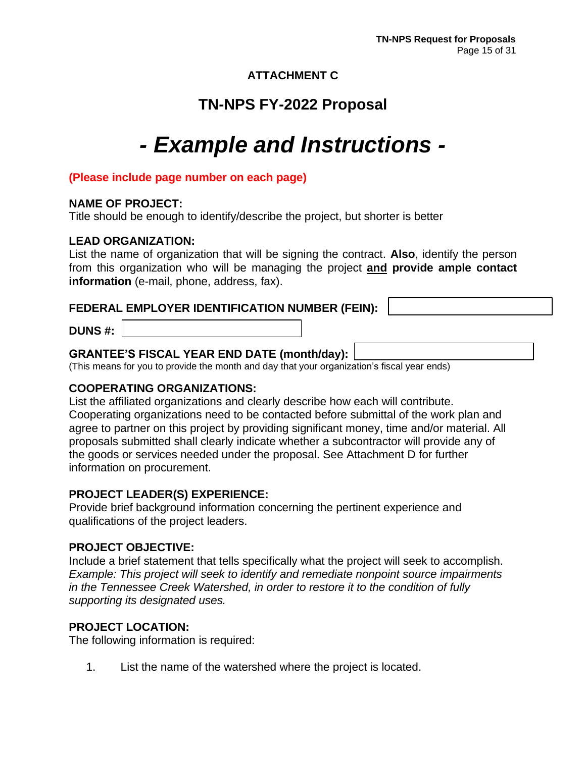#### **ATTACHMENT C**

## **TN-NPS FY-2022 Proposal**

## *- Example and Instructions -*

#### **(Please include page number on each page)**

#### **NAME OF PROJECT:**

Title should be enough to identify/describe the project, but shorter is better

#### **LEAD ORGANIZATION:**

List the name of organization that will be signing the contract. **Also**, identify the person from this organization who will be managing the project **and provide ample contact information** (e-mail, phone, address, fax).

#### **FEDERAL EMPLOYER IDENTIFICATION NUMBER (FEIN):**

**DUNS #:**

#### **GRANTEE'S FISCAL YEAR END DATE (month/day):**

(This means for you to provide the month and day that your organization's fiscal year ends)

#### **COOPERATING ORGANIZATIONS:**

List the affiliated organizations and clearly describe how each will contribute. Cooperating organizations need to be contacted before submittal of the work plan and agree to partner on this project by providing significant money, time and/or material. All proposals submitted shall clearly indicate whether a subcontractor will provide any of the goods or services needed under the proposal. See Attachment D for further information on procurement.

#### **PROJECT LEADER(S) EXPERIENCE:**

Provide brief background information concerning the pertinent experience and qualifications of the project leaders.

#### **PROJECT OBJECTIVE:**

Include a brief statement that tells specifically what the project will seek to accomplish. *Example: This project will seek to identify and remediate nonpoint source impairments in the Tennessee Creek Watershed, in order to restore it to the condition of fully supporting its designated uses.*

#### **PROJECT LOCATION:**

The following information is required:

1. List the name of the watershed where the project is located.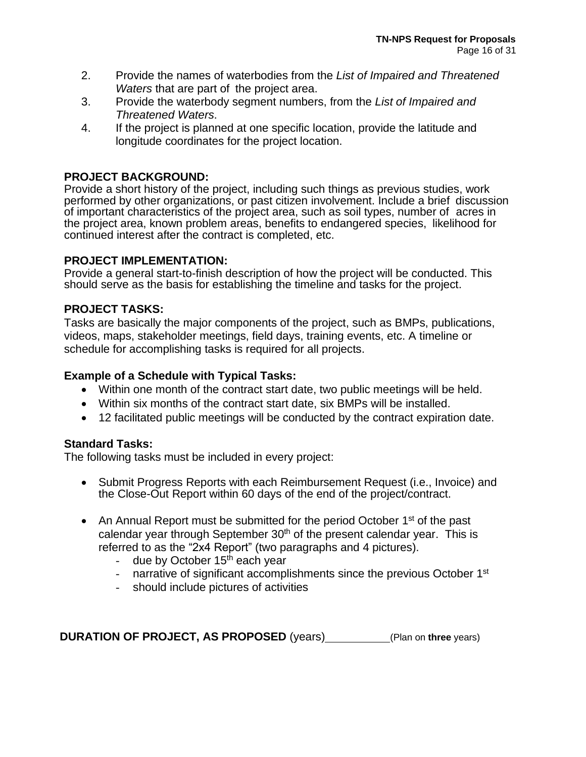- 2. Provide the names of waterbodies from the *List of Impaired and Threatened Waters* that are part of the project area.
- 3. Provide the waterbody segment numbers, from the *List of Impaired and Threatened Waters*.
- 4. If the project is planned at one specific location, provide the latitude and longitude coordinates for the project location.

#### **PROJECT BACKGROUND:**

Provide a short history of the project, including such things as previous studies, work performed by other organizations, or past citizen involvement. Include a brief discussion of important characteristics of the project area, such as soil types, number of acres in the project area, known problem areas, benefits to endangered species, likelihood for continued interest after the contract is completed, etc.

#### **PROJECT IMPLEMENTATION:**

Provide a general start-to-finish description of how the project will be conducted. This should serve as the basis for establishing the timeline and tasks for the project.

#### **PROJECT TASKS:**

Tasks are basically the major components of the project, such as BMPs, publications, videos, maps, stakeholder meetings, field days, training events, etc. A timeline or schedule for accomplishing tasks is required for all projects.

#### **Example of a Schedule with Typical Tasks:**

- Within one month of the contract start date, two public meetings will be held.
- Within six months of the contract start date, six BMPs will be installed.
- 12 facilitated public meetings will be conducted by the contract expiration date.

#### **Standard Tasks:**

The following tasks must be included in every project:

- Submit Progress Reports with each Reimbursement Request (i.e., Invoice) and the Close-Out Report within 60 days of the end of the project/contract.
- An Annual Report must be submitted for the period October 1<sup>st</sup> of the past calendar year through September  $30<sup>th</sup>$  of the present calendar year. This is referred to as the "2x4 Report" (two paragraphs and 4 pictures).
	- due by October  $15<sup>th</sup>$  each year
	- narrative of significant accomplishments since the previous October 1<sup>st</sup>
	- should include pictures of activities

**DURATION OF PROJECT, AS PROPOSED** (years) (Plan on **three** years)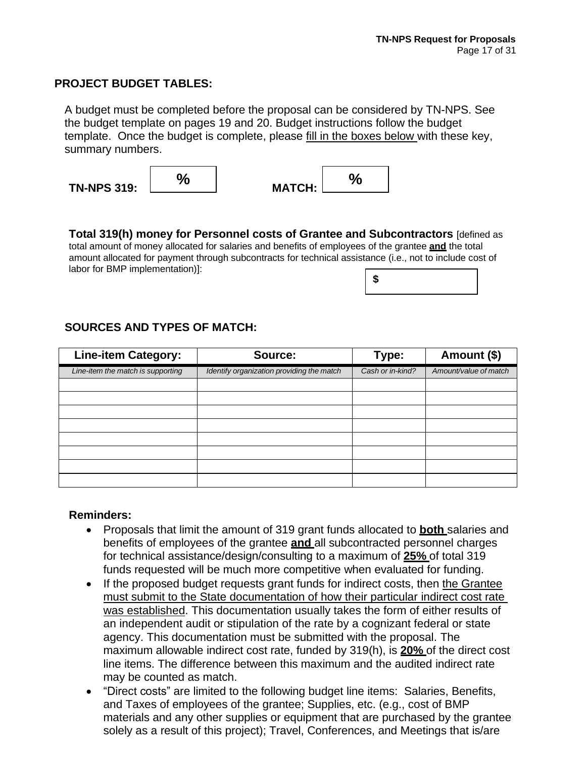#### **PROJECT BUDGET TABLES:**

A budget must be completed before the proposal can be considered by TN-NPS. See the budget template on pages 19 and 20. Budget instructions follow the budget template. Once the budget is complete, please fill in the boxes below with these key, summary numbers.



**Total 319(h) money for Personnel costs of Grantee and Subcontractors** [defined as total amount of money allocated for salaries and benefits of employees of the grantee **and** the total amount allocated for payment through subcontracts for technical assistance (i.e., not to include cost of labor for BMP implementation)]:

| $\vert \mathsf{s}$ |  |  |  |  |  |  |
|--------------------|--|--|--|--|--|--|
|--------------------|--|--|--|--|--|--|

# **Line-item Category: Source: Type: Amount (\$)** Line-item the match is supporting | Identify organization providing the match | Cash or in-kind? | Amount/value of match

#### **SOURCES AND TYPES OF MATCH:**

#### **Reminders:**

- Proposals that limit the amount of 319 grant funds allocated to **both** salaries and benefits of employees of the grantee **and** all subcontracted personnel charges for technical assistance/design/consulting to a maximum of **25%** of total 319 funds requested will be much more competitive when evaluated for funding.
- If the proposed budget requests grant funds for indirect costs, then the Grantee must submit to the State documentation of how their particular indirect cost rate was established. This documentation usually takes the form of either results of an independent audit or stipulation of the rate by a cognizant federal or state agency. This documentation must be submitted with the proposal. The maximum allowable indirect cost rate, funded by 319(h), is **20%** of the direct cost line items. The difference between this maximum and the audited indirect rate may be counted as match.
- "Direct costs" are limited to the following budget line items: Salaries, Benefits, and Taxes of employees of the grantee; Supplies, etc. (e.g., cost of BMP materials and any other supplies or equipment that are purchased by the grantee solely as a result of this project); Travel, Conferences, and Meetings that is/are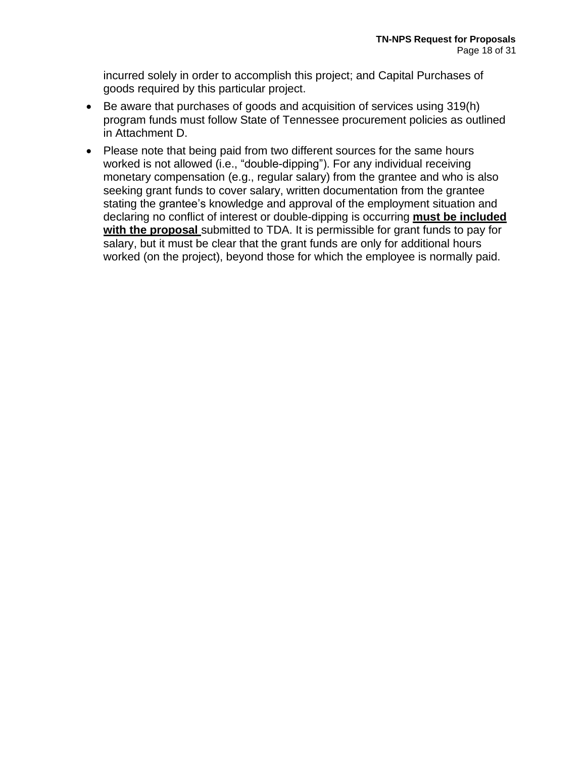incurred solely in order to accomplish this project; and Capital Purchases of goods required by this particular project.

- Be aware that purchases of goods and acquisition of services using 319(h) program funds must follow State of Tennessee procurement policies as outlined in Attachment D.
- Please note that being paid from two different sources for the same hours worked is not allowed (i.e., "double-dipping"). For any individual receiving monetary compensation (e.g., regular salary) from the grantee and who is also seeking grant funds to cover salary, written documentation from the grantee stating the grantee's knowledge and approval of the employment situation and declaring no conflict of interest or double-dipping is occurring **must be included with the proposal** submitted to TDA. It is permissible for grant funds to pay for salary, but it must be clear that the grant funds are only for additional hours worked (on the project), beyond those for which the employee is normally paid.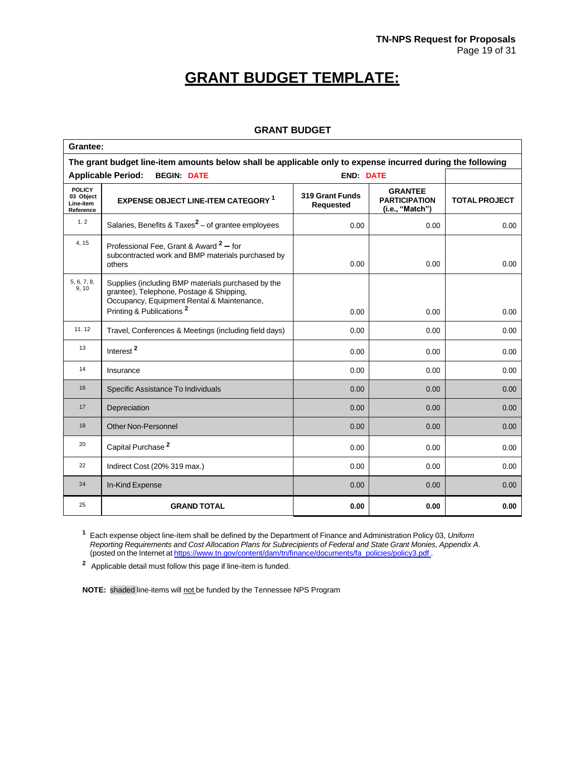## **GRANT BUDGET TEMPLATE:**

#### **GRANT BUDGET**

| Grantee:                                                                                                   |                                                                                                                                                                                      |                                            |                                                           |                      |  |  |  |
|------------------------------------------------------------------------------------------------------------|--------------------------------------------------------------------------------------------------------------------------------------------------------------------------------------|--------------------------------------------|-----------------------------------------------------------|----------------------|--|--|--|
| The grant budget line-item amounts below shall be applicable only to expense incurred during the following |                                                                                                                                                                                      |                                            |                                                           |                      |  |  |  |
| <b>Applicable Period:</b>                                                                                  |                                                                                                                                                                                      |                                            |                                                           |                      |  |  |  |
| <b>POLICY</b><br>03 Object<br>Line-item<br>Reference                                                       | <b>EXPENSE OBJECT LINE-ITEM CATEGORY 1</b>                                                                                                                                           | <b>319 Grant Funds</b><br><b>Requested</b> | <b>GRANTEE</b><br><b>PARTICIPATION</b><br>(i.e., "Match") | <b>TOTAL PROJECT</b> |  |  |  |
| 1.2                                                                                                        | Salaries, Benefits & Taxes <sup>2</sup> – of grantee employees                                                                                                                       | 0.00                                       | 0.00                                                      | 0.00                 |  |  |  |
| 4, 15                                                                                                      | Professional Fee, Grant & Award <sup>2</sup> - for<br>subcontracted work and BMP materials purchased by<br>others                                                                    | 0.00                                       | 0.00                                                      | 0.00                 |  |  |  |
| 5, 6, 7, 8,<br>9, 10                                                                                       | Supplies (including BMP materials purchased by the<br>grantee), Telephone, Postage & Shipping,<br>Occupancy, Equipment Rental & Maintenance,<br>Printing & Publications <sup>2</sup> | 0.00                                       | 0.00                                                      | 0.00                 |  |  |  |
| 11.12                                                                                                      | Travel, Conferences & Meetings (including field days)                                                                                                                                | 0.00                                       | 0.00                                                      | 0.00                 |  |  |  |
| 13                                                                                                         | Interest <sup>2</sup>                                                                                                                                                                | 0.00                                       | 0.00                                                      | 0.00                 |  |  |  |
| 14                                                                                                         | Insurance                                                                                                                                                                            | 0.00                                       | 0.00                                                      | 0.00                 |  |  |  |
| 16                                                                                                         | Specific Assistance To Individuals                                                                                                                                                   | 0.00                                       | 0.00                                                      | 0.00                 |  |  |  |
| 17                                                                                                         | Depreciation                                                                                                                                                                         | 0.00                                       | 0.00                                                      | 0.00                 |  |  |  |
| 18                                                                                                         | <b>Other Non-Personnel</b>                                                                                                                                                           | 0.00                                       | 0.00                                                      | 0.00                 |  |  |  |
| 20                                                                                                         | Capital Purchase <sup>2</sup>                                                                                                                                                        | 0.00                                       | 0.00                                                      | 0.00                 |  |  |  |
| 22                                                                                                         | Indirect Cost (20% 319 max.)                                                                                                                                                         | 0.00                                       | 0.00                                                      | 0.00                 |  |  |  |
| 24                                                                                                         | In-Kind Expense                                                                                                                                                                      | 0.00                                       | 0.00                                                      | 0.00                 |  |  |  |
| 25                                                                                                         | <b>GRAND TOTAL</b>                                                                                                                                                                   | 0.00                                       | 0.00                                                      | 0.00                 |  |  |  |

**<sup>1</sup>** Each expense object line-item shall be defined by the Department of Finance and Administration Policy 03, *Uniform* Reporting Requirements and Cost Allocation Plans for Subrecipients of Federal and State Grant Monies, Appendix A. (posted on the Internet at [https://www.tn.gov/content/dam/tn/finance/documents/fa\\_policies/policy3.pdf](https://www.tn.gov/content/dam/tn/finance/documents/fa_policies/policy3.pdf).

**<sup>2</sup>** Applicable detail must follow this page if line-item is funded.

**NOTE:** shaded line-items will not be funded by the Tennessee NPS Program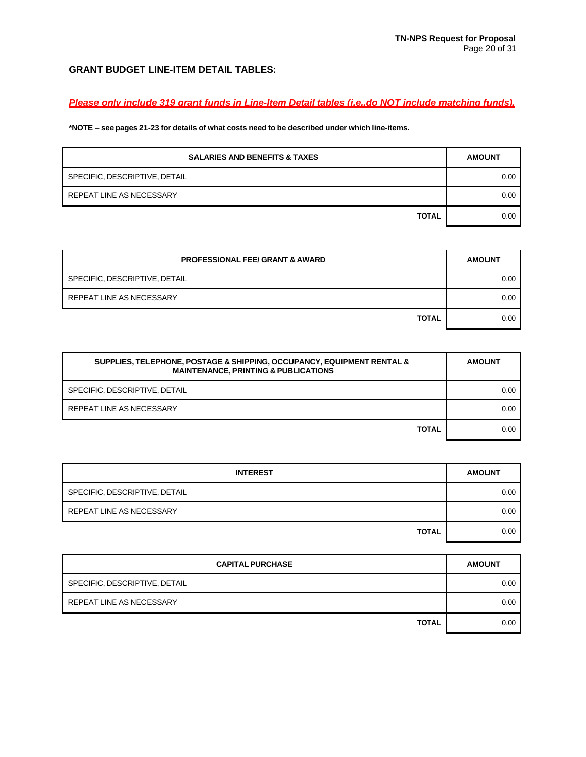#### **GRANT BUDGET LINE-ITEM DETAIL TABLES:**

#### *Please only include 319 grant funds in Line-Item Detail tables (i.e.,do NOT include matching funds).*

#### **\*NOTE – see pages 21-23 for details of what costs need to be described under which line-items.**

| <b>SALARIES AND BENEFITS &amp; TAXES</b> | <b>AMOUNT</b> |
|------------------------------------------|---------------|
| SPECIFIC, DESCRIPTIVE, DETAIL            | 0.00          |
| REPEAT LINE AS NECESSARY                 | 0.00          |
| <b>TOTAL</b>                             | 0.00          |

| <b>PROFESSIONAL FEE/ GRANT &amp; AWARD</b> | <b>AMOUNT</b> |
|--------------------------------------------|---------------|
| SPECIFIC, DESCRIPTIVE, DETAIL              | 0.00          |
| REPEAT LINE AS NECESSARY                   | 0.00          |
| <b>TOTAL</b>                               | 0.00          |

| SUPPLIES, TELEPHONE, POSTAGE & SHIPPING, OCCUPANCY, EQUIPMENT RENTAL &<br><b>MAINTENANCE, PRINTING &amp; PUBLICATIONS</b> | <b>AMOUNT</b> |
|---------------------------------------------------------------------------------------------------------------------------|---------------|
| SPECIFIC, DESCRIPTIVE, DETAIL                                                                                             | 0.00          |
| REPEAT LINE AS NECESSARY                                                                                                  | 0.00          |
| <b>TOTAL</b>                                                                                                              | 0.00          |

| <b>INTEREST</b>               | <b>AMOUNT</b> |
|-------------------------------|---------------|
| SPECIFIC, DESCRIPTIVE, DETAIL | 0.00          |
| REPEAT LINE AS NECESSARY      | 0.00          |
| <b>TOTAL</b>                  | 0.00          |

| <b>CAPITAL PURCHASE</b>       | <b>AMOUNT</b> |
|-------------------------------|---------------|
| SPECIFIC, DESCRIPTIVE, DETAIL | 0.00          |
| REPEAT LINE AS NECESSARY      | 0.00          |
| <b>TOTAL</b>                  | 0.00          |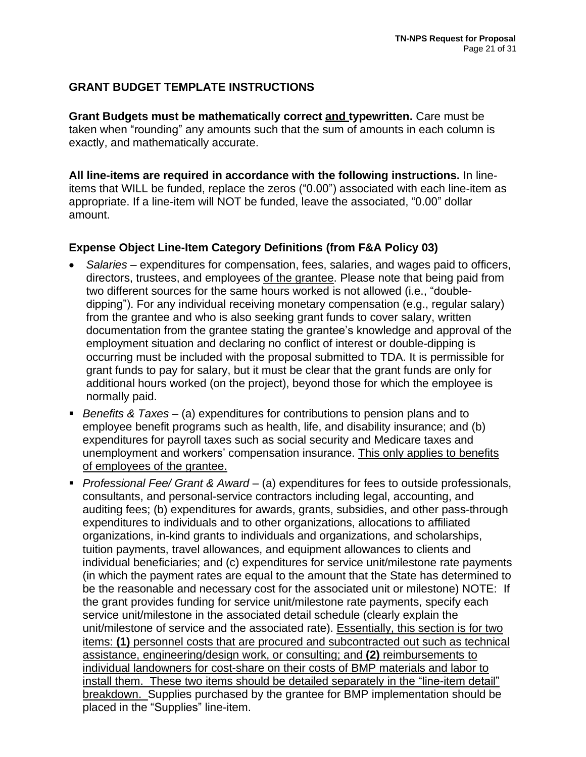#### **GRANT BUDGET TEMPLATE INSTRUCTIONS**

**Grant Budgets must be mathematically correct and typewritten.** Care must be taken when "rounding" any amounts such that the sum of amounts in each column is exactly, and mathematically accurate.

**All line-items are required in accordance with the following instructions.** In lineitems that WILL be funded, replace the zeros ("0.00") associated with each line-item as appropriate. If a line-item will NOT be funded, leave the associated, "0.00" dollar amount.

#### **Expense Object Line-Item Category Definitions (from F&A Policy 03)**

- *Salaries* expenditures for compensation, fees, salaries, and wages paid to officers, directors, trustees, and employees of the grantee. Please note that being paid from two different sources for the same hours worked is not allowed (i.e., "doubledipping"). For any individual receiving monetary compensation (e.g., regular salary) from the grantee and who is also seeking grant funds to cover salary, written documentation from the grantee stating the grantee's knowledge and approval of the employment situation and declaring no conflict of interest or double-dipping is occurring must be included with the proposal submitted to TDA. It is permissible for grant funds to pay for salary, but it must be clear that the grant funds are only for additional hours worked (on the project), beyond those for which the employee is normally paid.
- *Benefits & Taxes* (a) expenditures for contributions to pension plans and to employee benefit programs such as health, life, and disability insurance; and (b) expenditures for payroll taxes such as social security and Medicare taxes and unemployment and workers' compensation insurance. This only applies to benefits of employees of the grantee.
- *Professional Fee/ Grant & Award* (a) expenditures for fees to outside professionals, consultants, and personal-service contractors including legal, accounting, and auditing fees; (b) expenditures for awards, grants, subsidies, and other pass-through expenditures to individuals and to other organizations, allocations to affiliated organizations, in-kind grants to individuals and organizations, and scholarships, tuition payments, travel allowances, and equipment allowances to clients and individual beneficiaries; and (c) expenditures for service unit/milestone rate payments (in which the payment rates are equal to the amount that the State has determined to be the reasonable and necessary cost for the associated unit or milestone) NOTE: If the grant provides funding for service unit/milestone rate payments, specify each service unit/milestone in the associated detail schedule (clearly explain the unit/milestone of service and the associated rate). Essentially, this section is for two items: **(1)** personnel costs that are procured and subcontracted out such as technical assistance, engineering/design work, or consulting; and **(2)** reimbursements to individual landowners for cost-share on their costs of BMP materials and labor to install them. These two items should be detailed separately in the "line-item detail" breakdown. Supplies purchased by the grantee for BMP implementation should be placed in the "Supplies" line-item.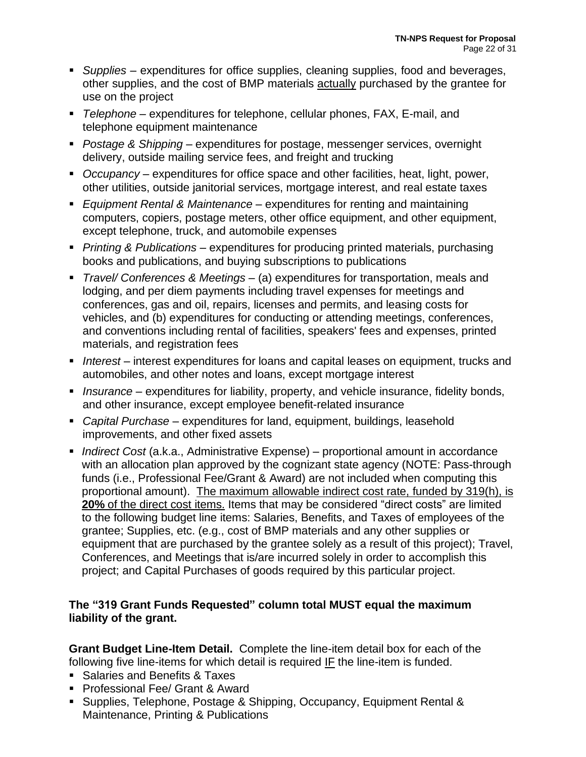- *Supplies* expenditures for office supplies, cleaning supplies, food and beverages, other supplies, and the cost of BMP materials actually purchased by the grantee for use on the project
- *Telephone* expenditures for telephone, cellular phones, FAX, E-mail, and telephone equipment maintenance
- *Postage & Shipping* expenditures for postage, messenger services, overnight delivery, outside mailing service fees, and freight and trucking
- *Occupancy* expenditures for office space and other facilities, heat, light, power, other utilities, outside janitorial services, mortgage interest, and real estate taxes
- *Equipment Rental & Maintenance* expenditures for renting and maintaining computers, copiers, postage meters, other office equipment, and other equipment, except telephone, truck, and automobile expenses
- *Printing & Publications* expenditures for producing printed materials, purchasing books and publications, and buying subscriptions to publications
- *Travel/ Conferences & Meetings* (a) expenditures for transportation, meals and lodging, and per diem payments including travel expenses for meetings and conferences, gas and oil, repairs, licenses and permits, and leasing costs for vehicles, and (b) expenditures for conducting or attending meetings, conferences, and conventions including rental of facilities, speakers' fees and expenses, printed materials, and registration fees
- *Interest* interest expenditures for loans and capital leases on equipment, trucks and automobiles, and other notes and loans, except mortgage interest
- *Insurance* expenditures for liability, property, and vehicle insurance, fidelity bonds, and other insurance, except employee benefit-related insurance
- *Capital Purchase* expenditures for land, equipment, buildings, leasehold improvements, and other fixed assets
- *Indirect Cost* (a.k.a., Administrative Expense) proportional amount in accordance with an allocation plan approved by the cognizant state agency (NOTE: Pass-through funds (i.e., Professional Fee/Grant & Award) are not included when computing this proportional amount). The maximum allowable indirect cost rate, funded by 319(h), is **20%** of the direct cost items. Items that may be considered "direct costs" are limited to the following budget line items: Salaries, Benefits, and Taxes of employees of the grantee; Supplies, etc. (e.g., cost of BMP materials and any other supplies or equipment that are purchased by the grantee solely as a result of this project); Travel, Conferences, and Meetings that is/are incurred solely in order to accomplish this project; and Capital Purchases of goods required by this particular project.

#### **The "319 Grant Funds Requested" column total MUST equal the maximum liability of the grant.**

**Grant Budget Line-Item Detail.** Complete the line-item detail box for each of the following five line-items for which detail is required IF the line-item is funded.

- Salaries and Benefits & Taxes
- Professional Fee/ Grant & Award
- Supplies, Telephone, Postage & Shipping, Occupancy, Equipment Rental & Maintenance, Printing & Publications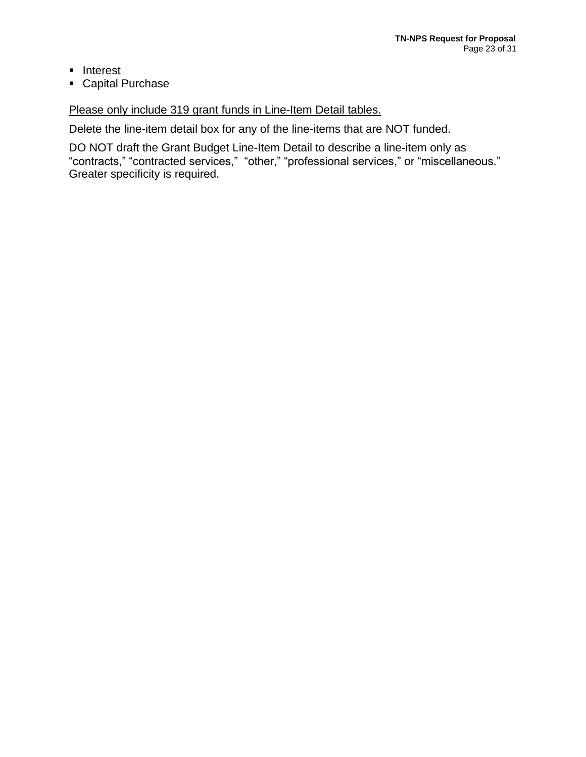- Interest
- Capital Purchase

Please only include 319 grant funds in Line-Item Detail tables.

Delete the line-item detail box for any of the line-items that are NOT funded.

DO NOT draft the Grant Budget Line-Item Detail to describe a line-item only as "contracts," "contracted services," "other," "professional services," or "miscellaneous." Greater specificity is required.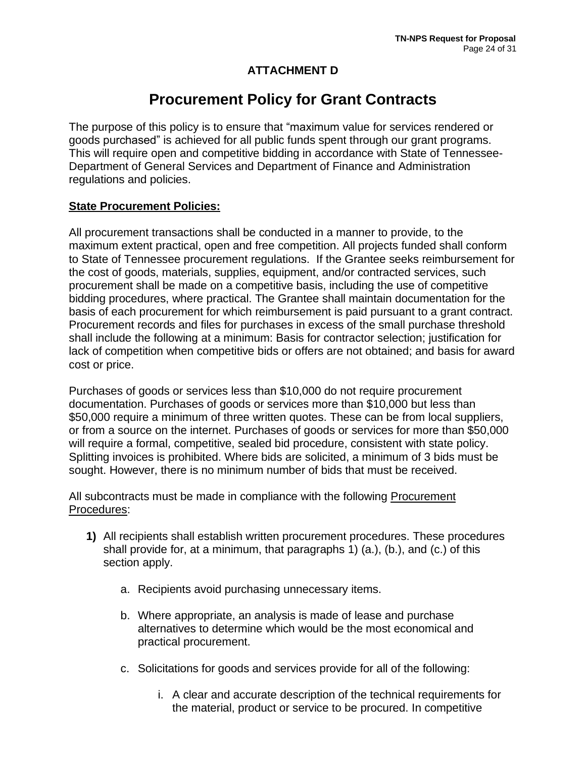#### **ATTACHMENT D**

## **Procurement Policy for Grant Contracts**

The purpose of this policy is to ensure that "maximum value for services rendered or goods purchased" is achieved for all public funds spent through our grant programs. This will require open and competitive bidding in accordance with State of Tennessee-Department of General Services and Department of Finance and Administration regulations and policies.

#### **State Procurement Policies:**

All procurement transactions shall be conducted in a manner to provide, to the maximum extent practical, open and free competition. All projects funded shall conform to State of Tennessee procurement regulations. If the Grantee seeks reimbursement for the cost of goods, materials, supplies, equipment, and/or contracted services, such procurement shall be made on a competitive basis, including the use of competitive bidding procedures, where practical. The Grantee shall maintain documentation for the basis of each procurement for which reimbursement is paid pursuant to a grant contract. Procurement records and files for purchases in excess of the small purchase threshold shall include the following at a minimum: Basis for contractor selection; justification for lack of competition when competitive bids or offers are not obtained; and basis for award cost or price.

Purchases of goods or services less than \$10,000 do not require procurement documentation. Purchases of goods or services more than \$10,000 but less than \$50,000 require a minimum of three written quotes. These can be from local suppliers, or from a source on the internet. Purchases of goods or services for more than \$50,000 will require a formal, competitive, sealed bid procedure, consistent with state policy. Splitting invoices is prohibited. Where bids are solicited, a minimum of 3 bids must be sought. However, there is no minimum number of bids that must be received.

All subcontracts must be made in compliance with the following Procurement Procedures:

- **1)** All recipients shall establish written procurement procedures. These procedures shall provide for, at a minimum, that paragraphs 1) (a.), (b.), and (c.) of this section apply.
	- a. Recipients avoid purchasing unnecessary items.
	- b. Where appropriate, an analysis is made of lease and purchase alternatives to determine which would be the most economical and practical procurement.
	- c. Solicitations for goods and services provide for all of the following:
		- i. A clear and accurate description of the technical requirements for the material, product or service to be procured. In competitive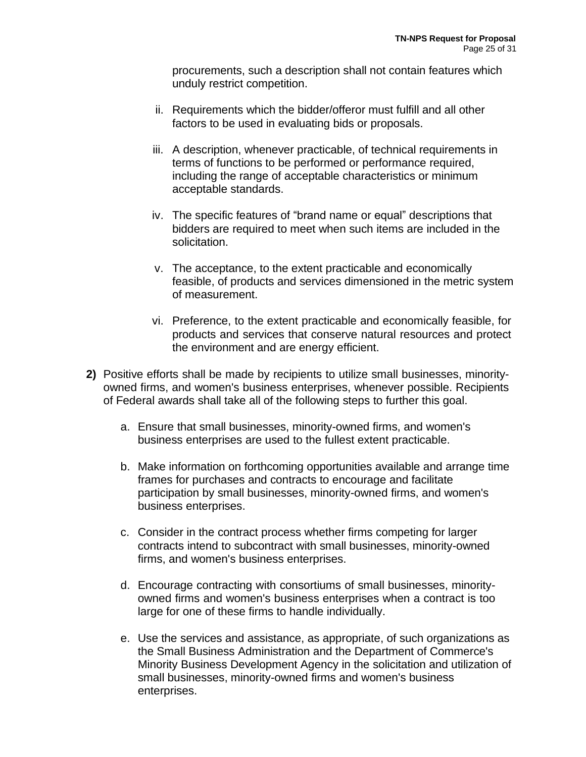procurements, such a description shall not contain features which unduly restrict competition.

- ii. Requirements which the bidder/offeror must fulfill and all other factors to be used in evaluating bids or proposals.
- iii. A description, whenever practicable, of technical requirements in terms of functions to be performed or performance required, including the range of acceptable characteristics or minimum acceptable standards.
- iv. The specific features of "brand name or equal" descriptions that bidders are required to meet when such items are included in the solicitation.
- v. The acceptance, to the extent practicable and economically feasible, of products and services dimensioned in the metric system of measurement.
- vi. Preference, to the extent practicable and economically feasible, for products and services that conserve natural resources and protect the environment and are energy efficient.
- **2)** Positive efforts shall be made by recipients to utilize small businesses, minorityowned firms, and women's business enterprises, whenever possible. Recipients of Federal awards shall take all of the following steps to further this goal.
	- a. Ensure that small businesses, minority-owned firms, and women's business enterprises are used to the fullest extent practicable.
	- b. Make information on forthcoming opportunities available and arrange time frames for purchases and contracts to encourage and facilitate participation by small businesses, minority-owned firms, and women's business enterprises.
	- c. Consider in the contract process whether firms competing for larger contracts intend to subcontract with small businesses, minority-owned firms, and women's business enterprises.
	- d. Encourage contracting with consortiums of small businesses, minorityowned firms and women's business enterprises when a contract is too large for one of these firms to handle individually.
	- e. Use the services and assistance, as appropriate, of such organizations as the Small Business Administration and the Department of Commerce's Minority Business Development Agency in the solicitation and utilization of small businesses, minority-owned firms and women's business enterprises.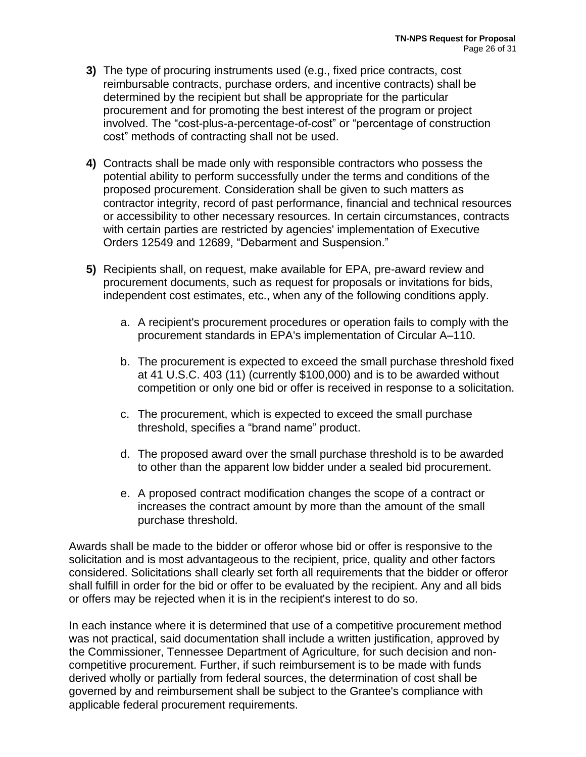- **3)** The type of procuring instruments used (e.g., fixed price contracts, cost reimbursable contracts, purchase orders, and incentive contracts) shall be determined by the recipient but shall be appropriate for the particular procurement and for promoting the best interest of the program or project involved. The "cost-plus-a-percentage-of-cost" or "percentage of construction cost" methods of contracting shall not be used.
- **4)** Contracts shall be made only with responsible contractors who possess the potential ability to perform successfully under the terms and conditions of the proposed procurement. Consideration shall be given to such matters as contractor integrity, record of past performance, financial and technical resources or accessibility to other necessary resources. In certain circumstances, contracts with certain parties are restricted by agencies' implementation of Executive Orders 12549 and 12689, "Debarment and Suspension."
- **5)** Recipients shall, on request, make available for EPA, pre-award review and procurement documents, such as request for proposals or invitations for bids, independent cost estimates, etc., when any of the following conditions apply.
	- a. A recipient's procurement procedures or operation fails to comply with the procurement standards in EPA's implementation of Circular A–110.
	- b. The procurement is expected to exceed the small purchase threshold fixed at 41 U.S.C. 403 (11) (currently \$100,000) and is to be awarded without competition or only one bid or offer is received in response to a solicitation.
	- c. The procurement, which is expected to exceed the small purchase threshold, specifies a "brand name" product.
	- d. The proposed award over the small purchase threshold is to be awarded to other than the apparent low bidder under a sealed bid procurement.
	- e. A proposed contract modification changes the scope of a contract or increases the contract amount by more than the amount of the small purchase threshold.

Awards shall be made to the bidder or offeror whose bid or offer is responsive to the solicitation and is most advantageous to the recipient, price, quality and other factors considered. Solicitations shall clearly set forth all requirements that the bidder or offeror shall fulfill in order for the bid or offer to be evaluated by the recipient. Any and all bids or offers may be rejected when it is in the recipient's interest to do so.

In each instance where it is determined that use of a competitive procurement method was not practical, said documentation shall include a written justification, approved by the Commissioner, Tennessee Department of Agriculture, for such decision and noncompetitive procurement. Further, if such reimbursement is to be made with funds derived wholly or partially from federal sources, the determination of cost shall be governed by and reimbursement shall be subject to the Grantee's compliance with applicable federal procurement requirements.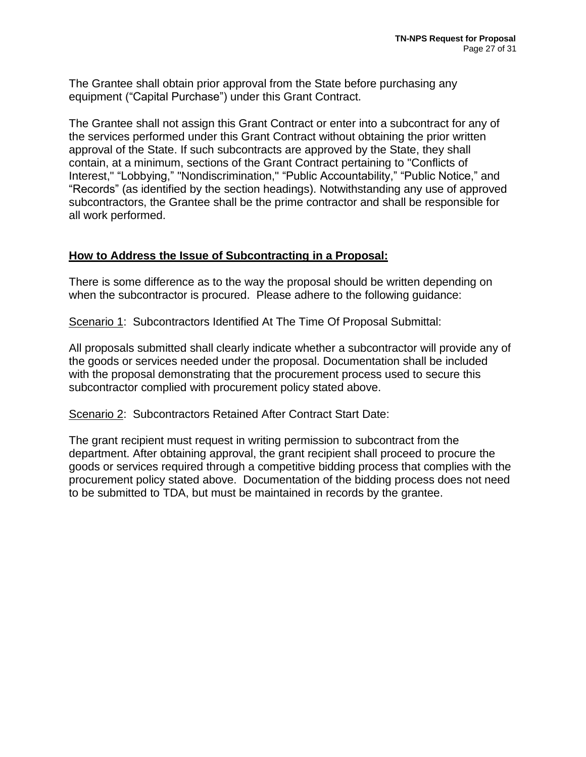The Grantee shall obtain prior approval from the State before purchasing any equipment ("Capital Purchase") under this Grant Contract.

The Grantee shall not assign this Grant Contract or enter into a subcontract for any of the services performed under this Grant Contract without obtaining the prior written approval of the State. If such subcontracts are approved by the State, they shall contain, at a minimum, sections of the Grant Contract pertaining to "Conflicts of Interest," "Lobbying," "Nondiscrimination," "Public Accountability," "Public Notice," and "Records" (as identified by the section headings). Notwithstanding any use of approved subcontractors, the Grantee shall be the prime contractor and shall be responsible for all work performed.

#### **How to Address the Issue of Subcontracting in a Proposal:**

There is some difference as to the way the proposal should be written depending on when the subcontractor is procured. Please adhere to the following guidance:

Scenario 1: Subcontractors Identified At The Time Of Proposal Submittal:

All proposals submitted shall clearly indicate whether a subcontractor will provide any of the goods or services needed under the proposal. Documentation shall be included with the proposal demonstrating that the procurement process used to secure this subcontractor complied with procurement policy stated above.

Scenario 2: Subcontractors Retained After Contract Start Date:

The grant recipient must request in writing permission to subcontract from the department. After obtaining approval, the grant recipient shall proceed to procure the goods or services required through a competitive bidding process that complies with the procurement policy stated above. Documentation of the bidding process does not need to be submitted to TDA, but must be maintained in records by the grantee.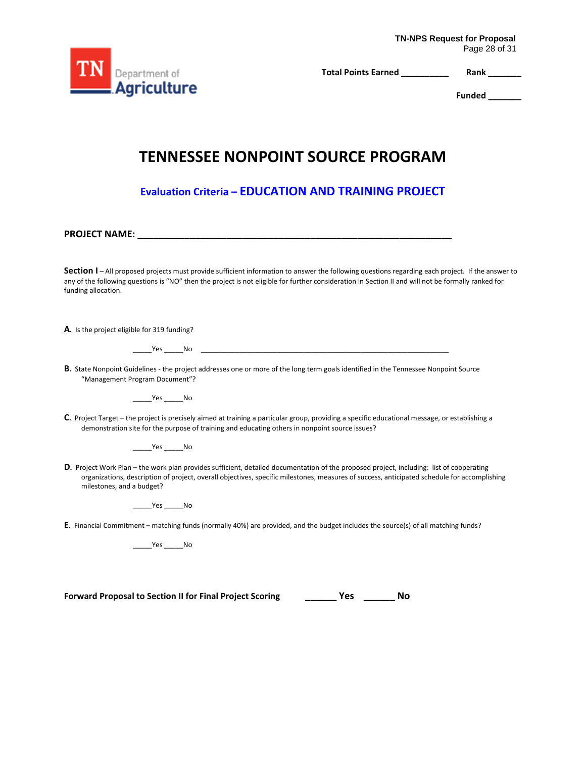Department of **Agriculture** 

 **Total Points Earned \_\_\_\_\_\_\_\_\_\_ Rank \_\_\_\_\_\_\_**

 **Funded \_\_\_\_\_\_\_**

## **TENNESSEE NONPOINT SOURCE PROGRAM**

**Evaluation Criteria – EDUCATION AND TRAINING PROJECT**

**PROJECT NAME:**  $\blacksquare$ 

**Section I** – All proposed projects must provide sufficient information to answer the following questions regarding each project. If the answer to any of the following questions is "NO" then the project is not eligible for further consideration in Section II and will not be formally ranked for funding allocation.

**A.** Is the project eligible for 319 funding?

\_\_\_\_\_Yes \_\_\_\_\_No \_\_\_\_\_\_\_\_\_\_\_\_\_\_\_\_\_\_\_\_\_\_\_\_\_\_\_\_\_\_\_\_\_\_\_\_\_\_\_\_\_\_\_\_\_\_\_\_\_\_\_\_\_\_\_\_\_\_\_\_\_\_\_\_\_

**B.** State Nonpoint Guidelines - the project addresses one or more of the long term goals identified in the Tennessee Nonpoint Source "Management Program Document"?

\_\_\_\_\_Yes \_\_\_\_\_No

**C.** Project Target – the project is precisely aimed at training a particular group, providing a specific educational message, or establishing a demonstration site for the purpose of training and educating others in nonpoint source issues?

\_\_\_\_\_Yes \_\_\_\_\_No

**D.** Project Work Plan – the work plan provides sufficient, detailed documentation of the proposed project, including: list of cooperating organizations, description of project, overall objectives, specific milestones, measures of success, anticipated schedule for accomplishing milestones, and a budget?

\_\_\_\_\_Yes \_\_\_\_\_No

**E.** Financial Commitment – matching funds (normally 40%) are provided, and the budget includes the source(s) of all matching funds?

\_\_\_\_\_Yes \_\_\_\_\_No

**Forward Proposal to Section II for Final Project Scoring \_\_\_\_\_\_ Yes \_\_\_\_\_\_ No**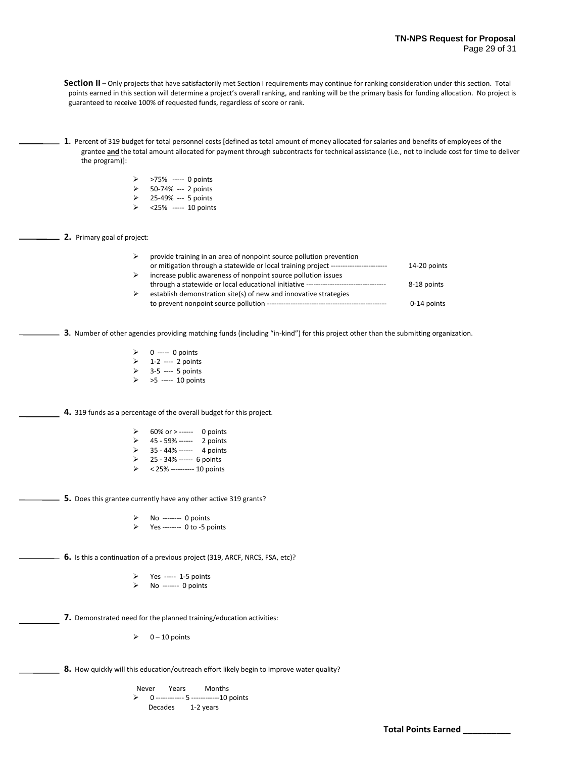**Section II** – Only projects that have satisfactorily met Section I requirements may continue for ranking consideration under this section. Total points earned in this section will determine a project's overall ranking, and ranking will be the primary basis for funding allocation. No project is guaranteed to receive 100% of requested funds, regardless of score or rank.

- **1.** Percent of 319 budget for total personnel costs [defined as total amount of money allocated for salaries and benefits of employees of the grantee **and** the total amount allocated for payment through subcontracts for technical assistance (i.e., not to include cost for time to deliver the program)]:
	- ➢ >75% ----- 0 points
	- $\ge$  50-74% --- 2 points<br> $\ge$  25-49% --- 5 points
	- $\ge$  25-49% --- 5 points<br> $\ge$  <25% ----- 10 point
	- ➢ <25% ----- 10 points
- **2.** Primary goal of project:

| provide training in an area of nonpoint source pollution prevention |              |
|---------------------------------------------------------------------|--------------|
| or mitigation through a statewide or local training project ---     | 14-20 points |
| increase public awareness of nonpoint source pollution issues       |              |
| through a statewide or local educational initiative --------------  | 8-18 points  |
| establish demonstration site(s) of new and innovative strategies    |              |
|                                                                     | 0-14 points  |

**3.** Number of other agencies providing matching funds (including "in-kind") for this project other than the submitting organization.

- $\geq 0$  ----- 0 points
- $> 1-2$  ---- 2 points
- ➢ 3-5 ---- 5 points
- ➢ >5 ----- 10 points

**4.** 319 funds as a percentage of the overall budget for this project.

| ➤ | $60\%$ or $>$ ------ | 0 points |
|---|----------------------|----------|
|---|----------------------|----------|

- ➢ 45 59% ------ 2 points
- $\ge$  35 44% ------ 4 points<br> $\ge$  25 34% ------ 6 points
- ➢ 25 34% ------ 6 points
- ➢ < 25% ---------- 10 points

**5.** Does this grantee currently have any other active 319 grants?

- ➢ No -------- 0 points
- $\triangleright$  Yes -------- 0 to -5 points

**6.** Is this a continuation of a previous project (319, ARCF, NRCS, FSA, etc)?

- ➢ Yes ----- 1-5 points
- $\triangleright$  No ------- 0 points
- **7.** Demonstrated need for the planned training/education activities:
	- $\geqslant$  0 10 points
- **8.** How quickly will this education/outreach effort likely begin to improve water quality?

 Never Years Months ➢ 0 ------------ 5 ------------10 points Decades 1-2 years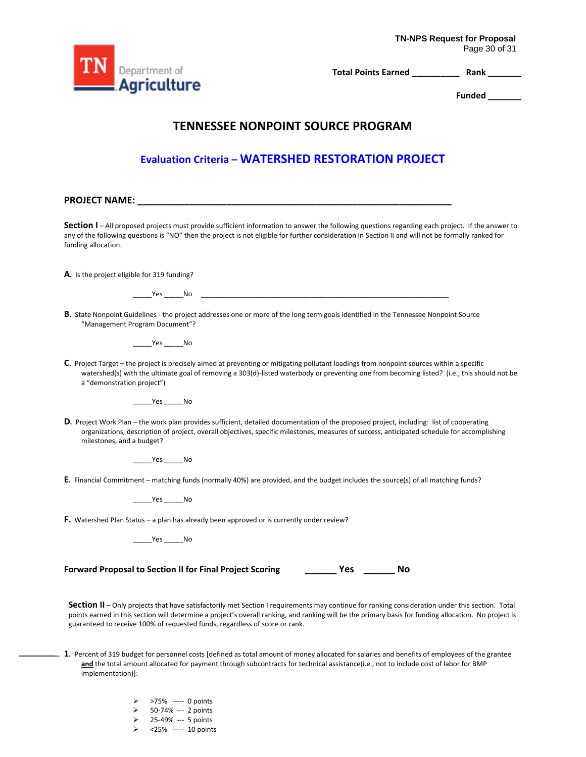

**TN-NPS Request for Proposal** Page 30 of 31

**Total Points Earned \_\_\_\_\_\_\_\_\_\_ Rank \_\_\_\_\_\_\_**

**Funded \_\_\_\_\_\_\_**

#### **TENNESSEE NONPOINT SOURCE PROGRAM**

#### **Evaluation Criteria – WATERSHED RESTORATION PROJECT**

#### **PROJECT NAME: \_\_\_\_\_\_\_\_\_\_\_\_\_\_\_\_\_\_\_\_\_\_\_\_\_\_\_\_\_\_\_\_\_\_\_\_\_\_\_\_\_\_\_\_\_\_\_\_\_\_\_\_\_\_\_\_\_\_\_\_**

**Section I** – All proposed projects must provide sufficient information to answer the following questions regarding each project. If the answer to any of the following questions is "NO" then the project is not eligible for further consideration in Section II and will not be formally ranked for funding allocation.

**A.** Is the project eligible for 319 funding?

\_\_\_\_\_Yes \_\_\_\_\_No \_\_\_\_\_\_\_\_\_\_\_\_\_\_\_\_\_\_\_\_\_\_\_\_\_\_\_\_\_\_\_\_\_\_\_\_\_\_\_\_\_\_\_\_\_\_\_\_\_\_\_\_\_\_\_\_\_\_\_\_\_\_\_\_\_

**B.** State Nonpoint Guidelines - the project addresses one or more of the long term goals identified in the Tennessee Nonpoint Source "Management Program Document"?

\_\_\_\_\_Yes \_\_\_\_\_No

**C.** Project Target – the project is precisely aimed at preventing or mitigating pollutant loadings from nonpoint sources within a specific watershed(s) with the ultimate goal of removing a 303(d)-listed waterbody or preventing one from becoming listed? (i.e., this should not be a "demonstration project")

\_\_\_\_\_Yes \_\_\_\_\_No

**D.** Project Work Plan – the work plan provides sufficient, detailed documentation of the proposed project, including: list of cooperating organizations, description of project, overall objectives, specific milestones, measures of success, anticipated schedule for accomplishing milestones, and a budget?

 $Yes$  \_\_\_\_\_\_\_\_\_ No

**E.** Financial Commitment – matching funds (normally 40%) are provided, and the budget includes the source(s) of all matching funds?

\_\_\_\_\_Yes \_\_\_\_\_No

**F.** Watershed Plan Status – a plan has already been approved or is currently under review?

\_\_\_\_\_Yes \_\_\_\_\_No

**Forward Proposal to Section II for Final Project Scoring \_\_\_\_\_\_ Yes \_\_\_\_\_\_ No**

 **Section II** – Only projects that have satisfactorily met Section I requirements may continue for ranking consideration under this section. Total points earned in this section will determine a project's overall ranking, and ranking will be the primary basis for funding allocation. No project is guaranteed to receive 100% of requested funds, regardless of score or rank.

- **1.** Percent of 319 budget for personnel costs [defined as total amount of money allocated for salaries and benefits of employees of the grantee **and** the total amount allocated for payment through subcontracts for technical assistance(i.e., not to include cost of labor for BMP implementation)]:
	- ➢ >75% ----- 0 points ➢ 50-74% --- 2 points ➢ 25-49% --- 5 points
	- ➢ <25% ----- 10 points